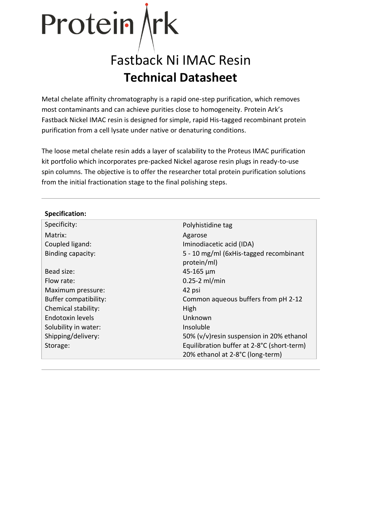# Protein *k*

# Fastback Ni IMAC Resin **Technical Datasheet**

Metal chelate affinity chromatography is a rapid one-step purification, which removes most contaminants and can achieve purities close to homogeneity. Protein Ark's Fastback Nickel IMAC resin is designed for simple, rapid His-tagged recombinant protein purification from a cell lysate under native or denaturing conditions.

The loose metal chelate resin adds a layer of scalability to the Proteus IMAC purification kit portfolio which incorporates pre-packed Nickel agarose resin plugs in ready-to-use spin columns. The objective is to offer the researcher total protein purification solutions from the initial fractionation stage to the final polishing steps.

| Polyhistidine tag                          |  |  |
|--------------------------------------------|--|--|
| Agarose                                    |  |  |
| Iminodiacetic acid (IDA)                   |  |  |
| 5 - 10 mg/ml (6xHis-tagged recombinant     |  |  |
| protein/ml)                                |  |  |
| $45 - 165 \mu m$                           |  |  |
| $0.25-2$ ml/min                            |  |  |
| 42 psi                                     |  |  |
| Common aqueous buffers from pH 2-12        |  |  |
| High                                       |  |  |
| Unknown                                    |  |  |
| Insoluble                                  |  |  |
| 50% (v/v) resin suspension in 20% ethanol  |  |  |
| Equilibration buffer at 2-8°C (short-term) |  |  |
| 20% ethanol at 2-8°C (long-term)           |  |  |
|                                            |  |  |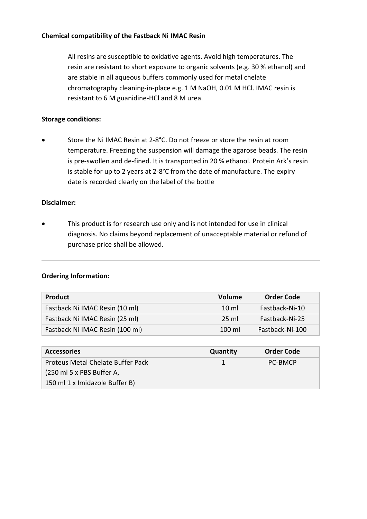#### **Chemical compatibility of the Fastback Ni IMAC Resin**

All resins are susceptible to oxidative agents. Avoid high temperatures. The resin are resistant to short exposure to organic solvents (e.g. 30 % ethanol) and are stable in all aqueous buffers commonly used for metal chelate chromatography cleaning-in-place e.g. 1 M NaOH, 0.01 M HCl. IMAC resin is resistant to 6 M guanidine-HCl and 8 M urea.

#### **Storage conditions:**

• Store the Ni IMAC Resin at 2-8°C. Do not freeze or store the resin at room temperature. Freezing the suspension will damage the agarose beads. The resin is pre-swollen and de-fined. It is transported in 20 % ethanol. Protein Ark's resin is stable for up to 2 years at 2-8°C from the date of manufacture. The expiry date is recorded clearly on the label of the bottle

#### **Disclaimer:**

This product is for research use only and is not intended for use in clinical diagnosis. No claims beyond replacement of unacceptable material or refund of purchase price shall be allowed.

#### **Ordering Information:**

| <b>Product</b>                  | Volume           | <b>Order Code</b> |
|---------------------------------|------------------|-------------------|
| Fastback Ni IMAC Resin (10 ml)  | $10 \text{ ml}$  | Fastback-Ni-10    |
| Fastback Ni IMAC Resin (25 ml)  | 25 ml            | Fastback-Ni-25    |
| Fastback Ni IMAC Resin (100 ml) | $100 \mathrm{m}$ | Fastback-Ni-100   |

| <b>Accessories</b>                | Quantity | <b>Order Code</b> |
|-----------------------------------|----------|-------------------|
| Proteus Metal Chelate Buffer Pack | 'L.      | <b>PC-BMCP</b>    |
| (250 ml 5 x PBS Buffer A,         |          |                   |
| 150 ml 1 x Imidazole Buffer B)    |          |                   |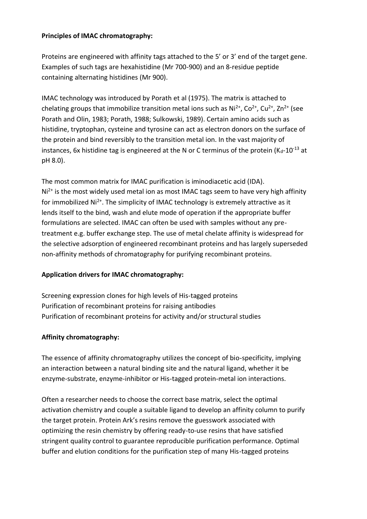#### **Principles of IMAC chromatography:**

Proteins are engineered with affinity tags attached to the 5' or 3' end of the target gene. Examples of such tags are hexahistidine (Mr 700-900) and an 8-residue peptide containing alternating histidines (Mr 900).

IMAC technology was introduced by Porath et al (1975). The matrix is attached to chelating groups that immobilize transition metal ions such as  $Ni^{2+}$ ,  $Co^{2+}$ ,  $Cu^{2+}$ ,  $Zn^{2+}$  (see Porath and Olin, 1983; Porath, 1988; Sulkowski, 1989). Certain amino acids such as histidine, tryptophan, cysteine and tyrosine can act as electron donors on the surface of the protein and bind reversibly to the transition metal ion. In the vast majority of instances, 6x histidine tag is engineered at the N or C terminus of the protein ( $K_d$ -10<sup>-13</sup> at pH 8.0).

The most common matrix for IMAC purification is iminodiacetic acid (IDA).  $Ni<sup>2+</sup>$  is the most widely used metal ion as most IMAC tags seem to have very high affinity for immobilized  $Ni<sup>2+</sup>$ . The simplicity of IMAC technology is extremely attractive as it lends itself to the bind, wash and elute mode of operation if the appropriate buffer formulations are selected. IMAC can often be used with samples without any pretreatment e.g. buffer exchange step. The use of metal chelate affinity is widespread for the selective adsorption of engineered recombinant proteins and has largely superseded non-affinity methods of chromatography for purifying recombinant proteins.

#### **Application drivers for IMAC chromatography:**

Screening expression clones for high levels of His-tagged proteins Purification of recombinant proteins for raising antibodies Purification of recombinant proteins for activity and/or structural studies

#### **Affinity chromatography:**

The essence of affinity chromatography utilizes the concept of bio-specificity, implying an interaction between a natural binding site and the natural ligand, whether it be enzyme-substrate, enzyme-inhibitor or His-tagged protein-metal ion interactions.

Often a researcher needs to choose the correct base matrix, select the optimal activation chemistry and couple a suitable ligand to develop an affinity column to purify the target protein. Protein Ark's resins remove the guesswork associated with optimizing the resin chemistry by offering ready-to-use resins that have satisfied stringent quality control to guarantee reproducible purification performance. Optimal buffer and elution conditions for the purification step of many His-tagged proteins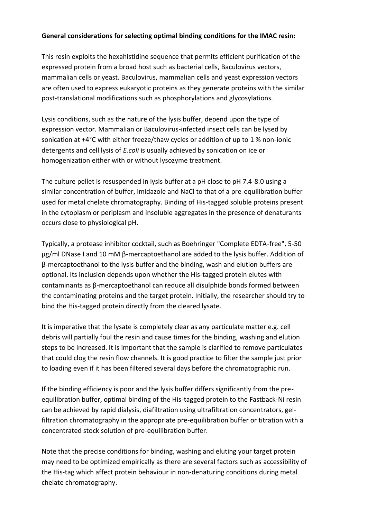#### **General considerations for selecting optimal binding conditions for the IMAC resin:**

This resin exploits the hexahistidine sequence that permits efficient purification of the expressed protein from a broad host such as bacterial cells, Baculovirus vectors, mammalian cells or yeast. Baculovirus, mammalian cells and yeast expression vectors are often used to express eukaryotic proteins as they generate proteins with the similar post-translational modifications such as phosphorylations and glycosylations.

Lysis conditions, such as the nature of the lysis buffer, depend upon the type of expression vector. Mammalian or Baculovirus-infected insect cells can be lysed by sonication at +4°C with either freeze/thaw cycles or addition of up to 1 % non-ionic detergents and cell lysis of *E.coli* is usually achieved by sonication on ice or homogenization either with or without lysozyme treatment.

The culture pellet is resuspended in lysis buffer at a pH close to pH 7.4-8.0 using a similar concentration of buffer, imidazole and NaCl to that of a pre-equilibration buffer used for metal chelate chromatography. Binding of His-tagged soluble proteins present in the cytoplasm or periplasm and insoluble aggregates in the presence of denaturants occurs close to physiological pH.

Typically, a protease inhibitor cocktail, such as Boehringer "Complete EDTA-free", 5-50 μg/ml DNase I and 10 mM β-mercaptoethanol are added to the lysis buffer. Addition of β-mercaptoethanol to the lysis buffer and the binding, wash and elution buffers are optional. Its inclusion depends upon whether the His-tagged protein elutes with contaminants as β-mercaptoethanol can reduce all disulphide bonds formed between the contaminating proteins and the target protein. Initially, the researcher should try to bind the His-tagged protein directly from the cleared lysate.

It is imperative that the lysate is completely clear as any particulate matter e.g. cell debris will partially foul the resin and cause times for the binding, washing and elution steps to be increased. It is important that the sample is clarified to remove particulates that could clog the resin flow channels. It is good practice to filter the sample just prior to loading even if it has been filtered several days before the chromatographic run.

If the binding efficiency is poor and the lysis buffer differs significantly from the preequilibration buffer, optimal binding of the His-tagged protein to the Fastback-Ni resin can be achieved by rapid dialysis, diafiltration using ultrafiltration concentrators, gelfiltration chromatography in the appropriate pre-equilibration buffer or titration with a concentrated stock solution of pre-equilibration buffer.

Note that the precise conditions for binding, washing and eluting your target protein may need to be optimized empirically as there are several factors such as accessibility of the His-tag which affect protein behaviour in non-denaturing conditions during metal chelate chromatography.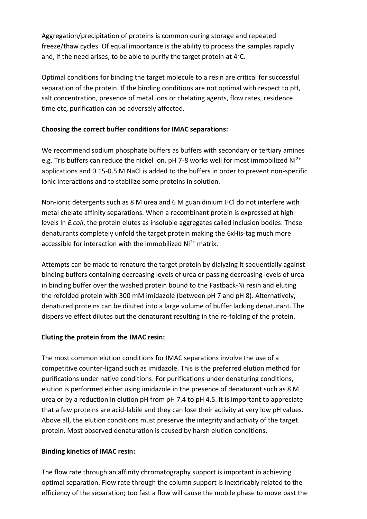Aggregation/precipitation of proteins is common during storage and repeated freeze/thaw cycles. Of equal importance is the ability to process the samples rapidly and, if the need arises, to be able to purify the target protein at 4°C.

Optimal conditions for binding the target molecule to a resin are critical for successful separation of the protein. If the binding conditions are not optimal with respect to pH, salt concentration, presence of metal ions or chelating agents, flow rates, residence time etc, purification can be adversely affected.

# **Choosing the correct buffer conditions for IMAC separations:**

We recommend sodium phosphate buffers as buffers with secondary or tertiary amines e.g. Tris buffers can reduce the nickel ion.  $pH$  7-8 works well for most immobilized Ni<sup>2+</sup> applications and 0.15-0.5 M NaCl is added to the buffers in order to prevent non-specific ionic interactions and to stabilize some proteins in solution.

Non-ionic detergents such as 8 M urea and 6 M guanidinium HCl do not interfere with metal chelate affinity separations. When a recombinant protein is expressed at high levels in *E.coli*, the protein elutes as insoluble aggregates called inclusion bodies. These denaturants completely unfold the target protein making the 6xHis-tag much more accessible for interaction with the immobilized  $Ni<sup>2+</sup>$  matrix.

Attempts can be made to renature the target protein by dialyzing it sequentially against binding buffers containing decreasing levels of urea or passing decreasing levels of urea in binding buffer over the washed protein bound to the Fastback-Ni resin and eluting the refolded protein with 300 mM imidazole (between pH 7 and pH 8). Alternatively, denatured proteins can be diluted into a large volume of buffer lacking denaturant. The dispersive effect dilutes out the denaturant resulting in the re-folding of the protein.

#### **Eluting the protein from the IMAC resin:**

The most common elution conditions for IMAC separations involve the use of a competitive counter-ligand such as imidazole. This is the preferred elution method for purifications under native conditions. For purifications under denaturing conditions, elution is performed either using imidazole in the presence of denaturant such as 8 M urea or by a reduction in elution pH from pH 7.4 to pH 4.5. It is important to appreciate that a few proteins are acid-labile and they can lose their activity at very low pH values. Above all, the elution conditions must preserve the integrity and activity of the target protein. Most observed denaturation is caused by harsh elution conditions.

#### **Binding kinetics of IMAC resin:**

The flow rate through an affinity chromatography support is important in achieving optimal separation. Flow rate through the column support is inextricably related to the efficiency of the separation; too fast a flow will cause the mobile phase to move past the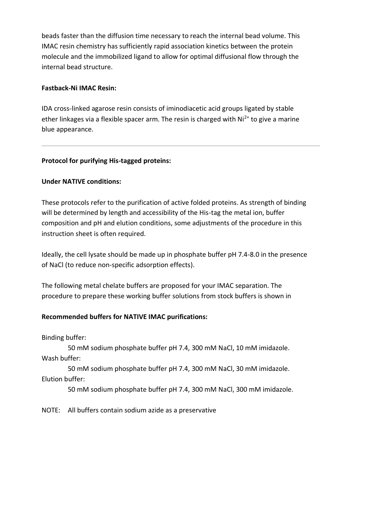beads faster than the diffusion time necessary to reach the internal bead volume. This IMAC resin chemistry has sufficiently rapid association kinetics between the protein molecule and the immobilized ligand to allow for optimal diffusional flow through the internal bead structure.

#### **Fastback-Ni IMAC Resin:**

IDA cross-linked agarose resin consists of iminodiacetic acid groups ligated by stable ether linkages via a flexible spacer arm. The resin is charged with  $Ni<sup>2+</sup>$  to give a marine blue appearance.

#### **Protocol for purifying His-tagged proteins:**

#### **Under NATIVE conditions:**

These protocols refer to the purification of active folded proteins. As strength of binding will be determined by length and accessibility of the His-tag the metal ion, buffer composition and pH and elution conditions, some adjustments of the procedure in this instruction sheet is often required.

Ideally, the cell lysate should be made up in phosphate buffer pH 7.4-8.0 in the presence of NaCl (to reduce non-specific adsorption effects).

The following metal chelate buffers are proposed for your IMAC separation. The procedure to prepare these working buffer solutions from stock buffers is shown in

#### **Recommended buffers for NATIVE IMAC purifications:**

Binding buffer:

50 mM sodium phosphate buffer pH 7.4, 300 mM NaCl, 10 mM imidazole. Wash buffer:

50 mM sodium phosphate buffer pH 7.4, 300 mM NaCl, 30 mM imidazole. Elution buffer:

50 mM sodium phosphate buffer pH 7.4, 300 mM NaCl, 300 mM imidazole.

NOTE: All buffers contain sodium azide as a preservative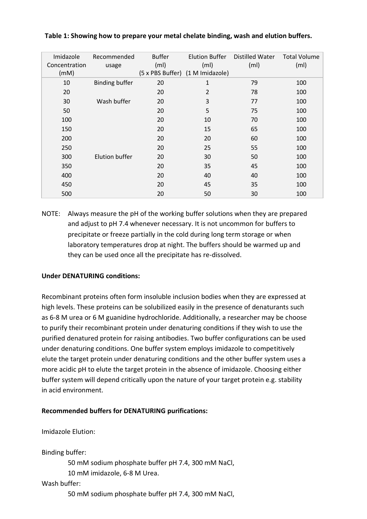| Imidazole<br>Concentration<br>(mM) | Recommended<br>usage  | <b>Buffer</b><br>(m <sub>l</sub> ) | Elution Buffer<br>(mI)<br>(5 x PBS Buffer) (1 M Imidazole) | Distilled Water<br>(m <sub>l</sub> ) | <b>Total Volume</b><br>(m <sub>l</sub> ) |
|------------------------------------|-----------------------|------------------------------------|------------------------------------------------------------|--------------------------------------|------------------------------------------|
| 10                                 | <b>Binding buffer</b> | 20                                 | 1                                                          | 79                                   | 100                                      |
| 20                                 |                       | 20                                 | 2                                                          | 78                                   | 100                                      |
| 30                                 | Wash buffer           | 20                                 | 3                                                          | 77                                   | 100                                      |
| 50                                 |                       | 20                                 | 5                                                          | 75                                   | 100                                      |
| 100                                |                       | 20                                 | 10                                                         | 70                                   | 100                                      |
| 150                                |                       | 20                                 | 15                                                         | 65                                   | 100                                      |
| 200                                |                       | 20                                 | 20                                                         | 60                                   | 100                                      |
| 250                                |                       | 20                                 | 25                                                         | 55                                   | 100                                      |
| 300                                | Elution buffer        | 20                                 | 30                                                         | 50                                   | 100                                      |
| 350                                |                       | 20                                 | 35                                                         | 45                                   | 100                                      |
| 400                                |                       | 20                                 | 40                                                         | 40                                   | 100                                      |
| 450                                |                       | 20                                 | 45                                                         | 35                                   | 100                                      |
| 500                                |                       | 20                                 | 50                                                         | 30                                   | 100                                      |

#### **Table 1: Showing how to prepare your metal chelate binding, wash and elution buffers.**

NOTE: Always measure the pH of the working buffer solutions when they are prepared and adjust to pH 7.4 whenever necessary. It is not uncommon for buffers to precipitate or freeze partially in the cold during long term storage or when laboratory temperatures drop at night. The buffers should be warmed up and they can be used once all the precipitate has re-dissolved.

#### **Under DENATURING conditions:**

Recombinant proteins often form insoluble inclusion bodies when they are expressed at high levels. These proteins can be solubilized easily in the presence of denaturants such as 6-8 M urea or 6 M guanidine hydrochloride. Additionally, a researcher may be choose to purify their recombinant protein under denaturing conditions if they wish to use the purified denatured protein for raising antibodies. Two buffer configurations can be used under denaturing conditions. One buffer system employs imidazole to competitively elute the target protein under denaturing conditions and the other buffer system uses a more acidic pH to elute the target protein in the absence of imidazole. Choosing either buffer system will depend critically upon the nature of your target protein e.g. stability in acid environment.

#### **Recommended buffers for DENATURING purifications:**

Imidazole Elution:

Binding buffer:

50 mM sodium phosphate buffer pH 7.4, 300 mM NaCl,

10 mM imidazole, 6-8 M Urea.

#### Wash buffer:

50 mM sodium phosphate buffer pH 7.4, 300 mM NaCl,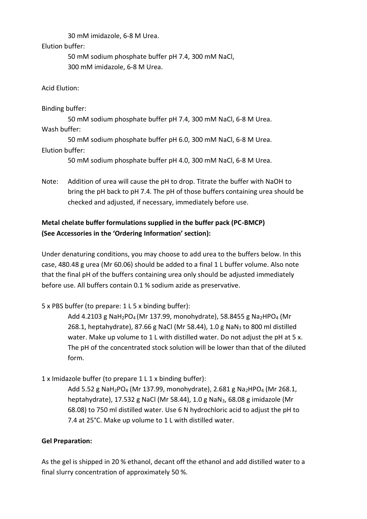30 mM imidazole, 6-8 M Urea.

Elution buffer:

50 mM sodium phosphate buffer pH 7.4, 300 mM NaCl, 300 mM imidazole, 6-8 M Urea.

Acid Elution:

Binding buffer:

50 mM sodium phosphate buffer pH 7.4, 300 mM NaCl, 6-8 M Urea. Wash buffer:

50 mM sodium phosphate buffer pH 6.0, 300 mM NaCl, 6-8 M Urea. Elution buffer:

50 mM sodium phosphate buffer pH 4.0, 300 mM NaCl, 6-8 M Urea.

Note: Addition of urea will cause the pH to drop. Titrate the buffer with NaOH to bring the pH back to pH 7.4. The pH of those buffers containing urea should be checked and adjusted, if necessary, immediately before use.

# **Metal chelate buffer formulations supplied in the buffer pack (PC-BMCP) (See Accessories in the 'Ordering Information' section):**

Under denaturing conditions, you may choose to add urea to the buffers below. In this case, 480.48 g urea (Mr 60.06) should be added to a final 1 L buffer volume. Also note that the final pH of the buffers containing urea only should be adjusted immediately before use. All buffers contain 0.1 % sodium azide as preservative.

5 x PBS buffer (to prepare: 1 L 5 x binding buffer):

Add 4.2103 g NaH<sub>2</sub>PO<sub>4</sub> (Mr 137.99, monohydrate), 58.8455 g Na<sub>2</sub>HPO<sub>4</sub> (Mr 268.1, heptahydrate), 87.66 g NaCl (Mr 58.44), 1.0 g NaN<sup>3</sup> to 800 ml distilled water. Make up volume to 1 L with distilled water. Do not adjust the pH at 5 x. The pH of the concentrated stock solution will be lower than that of the diluted form.

1 x Imidazole buffer (to prepare 1 L 1 x binding buffer):

Add 5.52 g NaH<sub>2</sub>PO<sub>4</sub> (Mr 137.99, monohydrate), 2.681 g Na<sub>2</sub>HPO<sub>4</sub> (Mr 268.1, heptahydrate), 17.532 g NaCl (Mr 58.44), 1.0 g NaN3, 68.08 g imidazole (Mr 68.08) to 750 ml distilled water. Use 6 N hydrochloric acid to adjust the pH to 7.4 at 25°C. Make up volume to 1 L with distilled water.

# **Gel Preparation:**

As the gel is shipped in 20 % ethanol, decant off the ethanol and add distilled water to a final slurry concentration of approximately 50 %.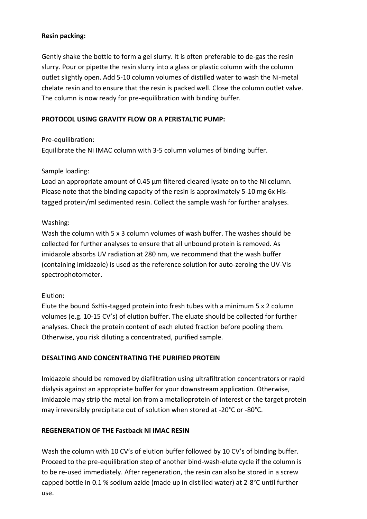#### **Resin packing:**

Gently shake the bottle to form a gel slurry. It is often preferable to de-gas the resin slurry. Pour or pipette the resin slurry into a glass or plastic column with the column outlet slightly open. Add 5-10 column volumes of distilled water to wash the Ni-metal chelate resin and to ensure that the resin is packed well. Close the column outlet valve. The column is now ready for pre-equilibration with binding buffer.

#### **PROTOCOL USING GRAVITY FLOW OR A PERISTALTIC PUMP:**

Pre-equilibration:

Equilibrate the Ni IMAC column with 3-5 column volumes of binding buffer.

#### Sample loading:

Load an appropriate amount of 0.45 μm filtered cleared lysate on to the Ni column. Please note that the binding capacity of the resin is approximately 5-10 mg 6x Histagged protein/ml sedimented resin. Collect the sample wash for further analyses.

# Washing:

Wash the column with 5 x 3 column volumes of wash buffer. The washes should be collected for further analyses to ensure that all unbound protein is removed. As imidazole absorbs UV radiation at 280 nm, we recommend that the wash buffer (containing imidazole) is used as the reference solution for auto-zeroing the UV-Vis spectrophotometer.

# Elution:

Elute the bound 6xHis-tagged protein into fresh tubes with a minimum 5 x 2 column volumes (e.g. 10-15 CV's) of elution buffer. The eluate should be collected for further analyses. Check the protein content of each eluted fraction before pooling them. Otherwise, you risk diluting a concentrated, purified sample.

# **DESALTING AND CONCENTRATING THE PURIFIED PROTEIN**

Imidazole should be removed by diafiltration using ultrafiltration concentrators or rapid dialysis against an appropriate buffer for your downstream application. Otherwise, imidazole may strip the metal ion from a metalloprotein of interest or the target protein may irreversibly precipitate out of solution when stored at -20°C or -80°C.

# **REGENERATION OF THE Fastback Ni IMAC RESIN**

Wash the column with 10 CV's of elution buffer followed by 10 CV's of binding buffer. Proceed to the pre-equilibration step of another bind-wash-elute cycle if the column is to be re-used immediately. After regeneration, the resin can also be stored in a screw capped bottle in 0.1 % sodium azide (made up in distilled water) at 2-8°C until further use.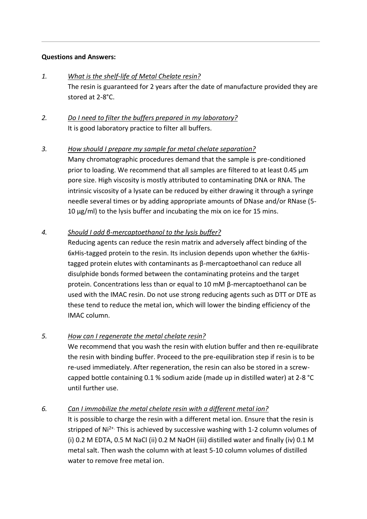#### **Questions and Answers:**

- *1. What is the shelf-life of Metal Chelate resin?* The resin is guaranteed for 2 years after the date of manufacture provided they are stored at 2-8°C.
- *2. Do I need to filter the buffers prepared in my laboratory?* It is good laboratory practice to filter all buffers.

# *3. How should I prepare my sample for metal chelate separation?*

Many chromatographic procedures demand that the sample is pre-conditioned prior to loading. We recommend that all samples are filtered to at least 0.45 μm pore size. High viscosity is mostly attributed to contaminating DNA or RNA. The intrinsic viscosity of a lysate can be reduced by either drawing it through a syringe needle several times or by adding appropriate amounts of DNase and/or RNase (5- 10 μg/ml) to the lysis buffer and incubating the mix on ice for 15 mins.

#### *4. Should I add β-mercaptoethanol to the lysis buffer?*

Reducing agents can reduce the resin matrix and adversely affect binding of the 6xHis-tagged protein to the resin. Its inclusion depends upon whether the 6xHistagged protein elutes with contaminants as β-mercaptoethanol can reduce all disulphide bonds formed between the contaminating proteins and the target protein. Concentrations less than or equal to 10 mM β-mercaptoethanol can be used with the IMAC resin. Do not use strong reducing agents such as DTT or DTE as these tend to reduce the metal ion, which will lower the binding efficiency of the IMAC column.

#### *5. How can I regenerate the metal chelate resin?*

We recommend that you wash the resin with elution buffer and then re-equilibrate the resin with binding buffer. Proceed to the pre-equilibration step if resin is to be re-used immediately. After regeneration, the resin can also be stored in a screwcapped bottle containing 0.1 % sodium azide (made up in distilled water) at 2-8 °C until further use.

# *6. Can I immobilize the metal chelate resin with a different metal ion?*

It is possible to charge the resin with a different metal ion. Ensure that the resin is stripped of Ni<sup>2+.</sup> This is achieved by successive washing with 1-2 column volumes of (i) 0.2 M EDTA, 0.5 M NaCl (ii) 0.2 M NaOH (iii) distilled water and finally (iv) 0.1 M metal salt. Then wash the column with at least 5-10 column volumes of distilled water to remove free metal ion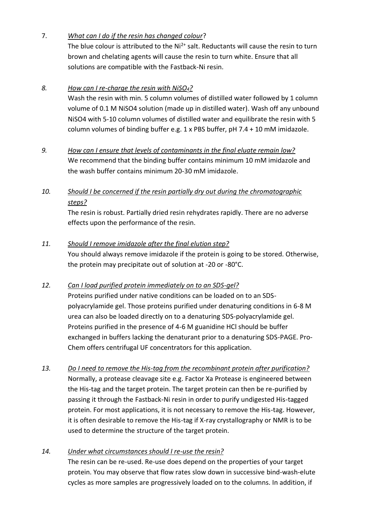# 7. *What can I do if the resin has changed colour*?

The blue colour is attributed to the  $Ni<sup>2+</sup>$  salt. Reductants will cause the resin to turn brown and chelating agents will cause the resin to turn white. Ensure that all solutions are compatible with the Fastback-Ni resin.

# *8. How can I re-charge the resin with NiSO4?*

Wash the resin with min. 5 column volumes of distilled water followed by 1 column volume of 0.1 M NiSO4 solution (made up in distilled water). Wash off any unbound NiSO4 with 5-10 column volumes of distilled water and equilibrate the resin with 5 column volumes of binding buffer e.g. 1 x PBS buffer, pH 7.4 + 10 mM imidazole.

# *9. How can I ensure that levels of contaminants in the final eluate remain low?* We recommend that the binding buffer contains minimum 10 mM imidazole and the wash buffer contains minimum 20-30 mM imidazole.

# *10. Should I be concerned if the resin partially dry out during the chromatographic steps?*

The resin is robust. Partially dried resin rehydrates rapidly. There are no adverse effects upon the performance of the resin.

# *11. Should I remove imidazole after the final elution step?*

You should always remove imidazole if the protein is going to be stored. Otherwise, the protein may precipitate out of solution at -20 or -80°C.

# *12. Can I load purified protein immediately on to an SDS-gel?*

Proteins purified under native conditions can be loaded on to an SDSpolyacrylamide gel. Those proteins purified under denaturing conditions in 6-8 M urea can also be loaded directly on to a denaturing SDS-polyacrylamide gel. Proteins purified in the presence of 4-6 M guanidine HCl should be buffer exchanged in buffers lacking the denaturant prior to a denaturing SDS-PAGE. Pro-Chem offers centrifugal UF concentrators for this application.

*13. Do I need to remove the His-tag from the recombinant protein after purification?* Normally, a protease cleavage site e.g. Factor Xa Protease is engineered between the His-tag and the target protein. The target protein can then be re-purified by passing it through the Fastback-Ni resin in order to purify undigested His-tagged protein. For most applications, it is not necessary to remove the His-tag. However, it is often desirable to remove the His-tag if X-ray crystallography or NMR is to be used to determine the structure of the target protein.

# *14. Under what circumstances should I re-use the resin?*

The resin can be re-used. Re-use does depend on the properties of your target protein. You may observe that flow rates slow down in successive bind-wash-elute cycles as more samples are progressively loaded on to the columns. In addition, if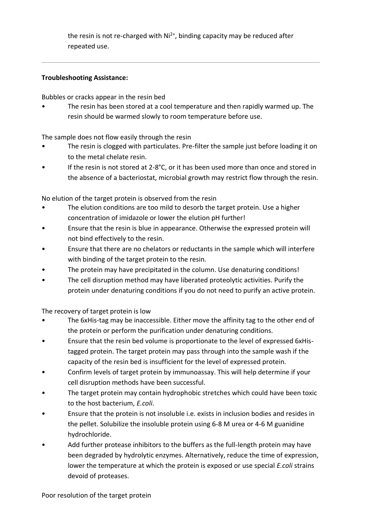the resin is not re-charged with  $Ni<sup>2+</sup>$ , binding capacity may be reduced after repeated use.

#### **Troubleshooting Assistance:**

Bubbles or cracks appear in the resin bed

The resin has been stored at a cool temperature and then rapidly warmed up. The resin should be warmed slowly to room temperature before use.

The sample does not flow easily through the resin

- The resin is clogged with particulates. Pre-filter the sample just before loading it on to the metal chelate resin.
- If the resin is not stored at  $2-8$ °C, or it has been used more than once and stored in the absence of a bacteriostat, microbial growth may restrict flow through the resin.

No elution of the target protein is observed from the resin

- The elution conditions are too mild to desorb the target protein. Use a higher concentration of imidazole or lower the elution pH further!
- Ensure that the resin is blue in appearance. Otherwise the expressed protein will not bind effectively to the resin.
- Ensure that there are no chelators or reductants in the sample which will interfere with binding of the target protein to the resin.
- The protein may have precipitated in the column. Use denaturing conditions!
- The cell disruption method may have liberated proteolytic activities. Purify the protein under denaturing conditions if you do not need to purify an active protein.

The recovery of target protein is low

- The 6xHis-tag may be inaccessible. Either move the affinity tag to the other end of the protein or perform the purification under denaturing conditions.
- Ensure that the resin bed volume is proportionate to the level of expressed 6xHistagged protein. The target protein may pass through into the sample wash if the capacity of the resin bed is insufficient for the level of expressed protein.
- Confirm levels of target protein by immunoassay. This will help determine if your cell disruption methods have been successful.
- The target protein may contain hydrophobic stretches which could have been toxic to the host bacterium, *E.coli*.
- Ensure that the protein is not insoluble i.e. exists in inclusion bodies and resides in the pellet. Solubilize the insoluble protein using 6-8 M urea or 4-6 M guanidine hydrochloride.
- Add further protease inhibitors to the buffers as the full-length protein may have been degraded by hydrolytic enzymes. Alternatively, reduce the time of expression, lower the temperature at which the protein is exposed or use special *E.coli* strains devoid of proteases.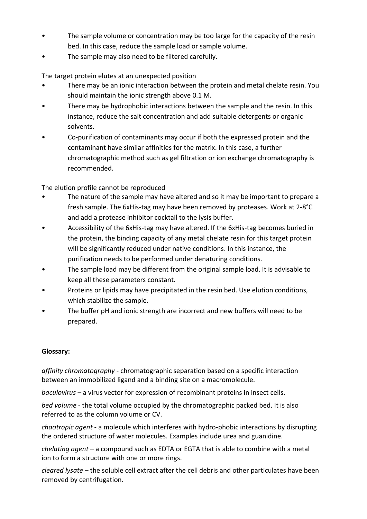- The sample volume or concentration may be too large for the capacity of the resin bed. In this case, reduce the sample load or sample volume.
- The sample may also need to be filtered carefully.

The target protein elutes at an unexpected position

- There may be an ionic interaction between the protein and metal chelate resin. You should maintain the ionic strength above 0.1 M.
- There may be hydrophobic interactions between the sample and the resin. In this instance, reduce the salt concentration and add suitable detergents or organic solvents.
- Co-purification of contaminants may occur if both the expressed protein and the contaminant have similar affinities for the matrix. In this case, a further chromatographic method such as gel filtration or ion exchange chromatography is recommended.

The elution profile cannot be reproduced

- The nature of the sample may have altered and so it may be important to prepare a fresh sample. The 6xHis-tag may have been removed by proteases. Work at 2-8°C and add a protease inhibitor cocktail to the lysis buffer.
- Accessibility of the 6xHis-tag may have altered. If the 6xHis-tag becomes buried in the protein, the binding capacity of any metal chelate resin for this target protein will be significantly reduced under native conditions. In this instance, the purification needs to be performed under denaturing conditions.
- The sample load may be different from the original sample load. It is advisable to keep all these parameters constant.
- Proteins or lipids may have precipitated in the resin bed. Use elution conditions, which stabilize the sample.
- The buffer pH and ionic strength are incorrect and new buffers will need to be prepared.

# **Glossary:**

*affinity chromatography* - chromatographic separation based on a specific interaction between an immobilized ligand and a binding site on a macromolecule.

*baculovirus* – a virus vector for expression of recombinant proteins in insect cells.

*bed volume* - the total volume occupied by the chromatographic packed bed. It is also referred to as the column volume or CV.

*chaotropic agent* - a molecule which interferes with hydro-phobic interactions by disrupting the ordered structure of water molecules. Examples include urea and guanidine.

*chelating agent* – a compound such as EDTA or EGTA that is able to combine with a metal ion to form a structure with one or more rings.

*cleared lysate* – the soluble cell extract after the cell debris and other particulates have been removed by centrifugation.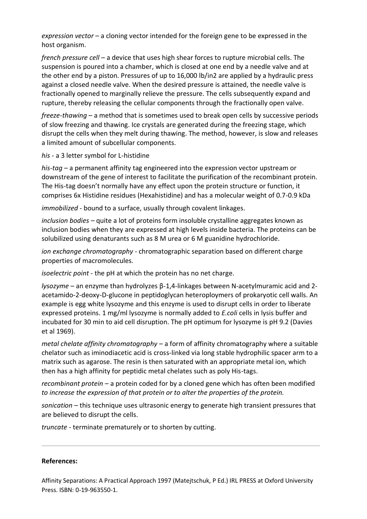*expression vector* – a cloning vector intended for the foreign gene to be expressed in the host organism.

*french pressure cell* – a device that uses high shear forces to rupture microbial cells. The suspension is poured into a chamber, which is closed at one end by a needle valve and at the other end by a piston. Pressures of up to 16,000 lb/in2 are applied by a hydraulic press against a closed needle valve. When the desired pressure is attained, the needle valve is fractionally opened to marginally relieve the pressure. The cells subsequently expand and rupture, thereby releasing the cellular components through the fractionally open valve.

*freeze-thawing* – a method that is sometimes used to break open cells by successive periods of slow freezing and thawing. Ice crystals are generated during the freezing stage, which disrupt the cells when they melt during thawing. The method, however, is slow and releases a limited amount of subcellular components.

*his* - a 3 letter symbol for L-histidine

*his-tag* – a permanent affinity tag engineered into the expression vector upstream or downstream of the gene of interest to facilitate the purification of the recombinant protein. The His-tag doesn't normally have any effect upon the protein structure or function, it comprises 6x Histidine residues (Hexahistidine) and has a molecular weight of 0.7-0.9 kDa

*immobilized* - bound to a surface, usually through covalent linkages.

*inclusion bodies* – quite a lot of proteins form insoluble crystalline aggregates known as inclusion bodies when they are expressed at high levels inside bacteria. The proteins can be solubilized using denaturants such as 8 M urea or 6 M guanidine hydrochloride.

*ion exchange chromatography* - chromatographic separation based on different charge properties of macromolecules.

*isoelectric point* - the pH at which the protein has no net charge.

*lysozyme* – an enzyme than hydrolyzes β-1,4-linkages between N-acetylmuramic acid and 2 acetamido-2-deoxy-D-glucone in peptidoglycan heteroploymers of prokaryotic cell walls. An example is egg white lysozyme and this enzyme is used to disrupt cells in order to liberate expressed proteins. 1 mg/ml lysozyme is normally added to *E.coli* cells in lysis buffer and incubated for 30 min to aid cell disruption. The pH optimum for lysozyme is pH 9.2 (Davies et al 1969).

*metal chelate affinity chromatography* – a form of affinity chromatography where a suitable chelator such as iminodiacetic acid is cross-linked via long stable hydrophilic spacer arm to a matrix such as agarose. The resin is then saturated with an appropriate metal ion, which then has a high affinity for peptidic metal chelates such as poly His-tags.

*recombinant protein* – a protein coded for by a cloned gene which has often been modified *to increase the expression of that protein or to alter the properties of the protein.*

*sonication* – this technique uses ultrasonic energy to generate high transient pressures that are believed to disrupt the cells.

*truncate* - terminate prematurely or to shorten by cutting.

#### **References:**

Affinity Separations: A Practical Approach 1997 (Matejtschuk, P Ed.) IRL PRESS at Oxford University Press. ISBN: 0-19-963550-1.